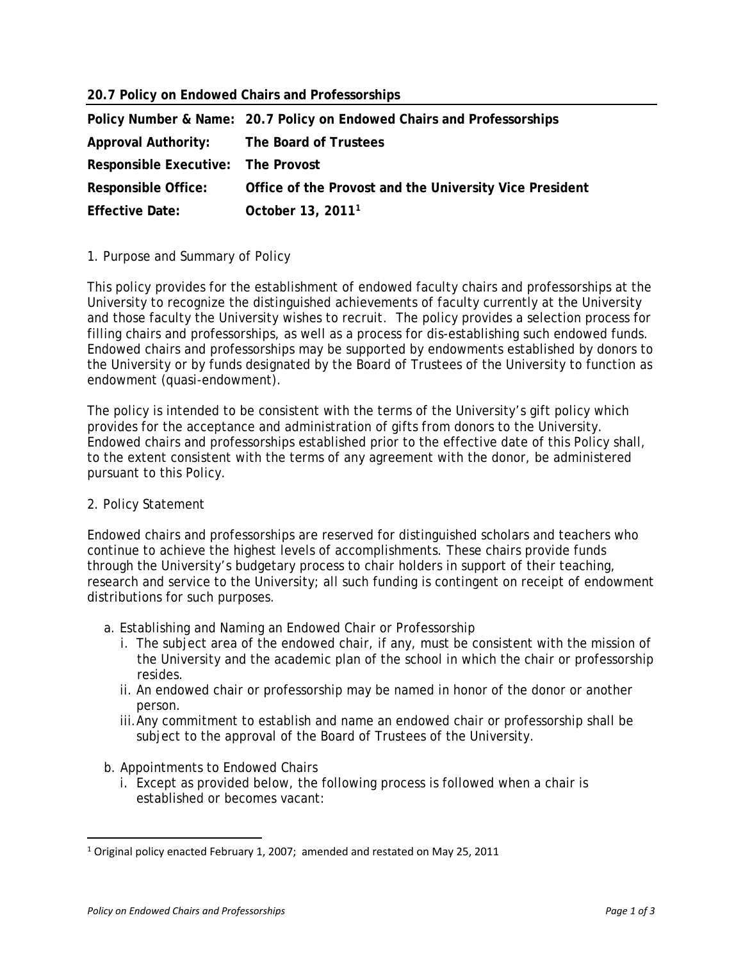## **20.7 Policy on Endowed Chairs and Professorships**

|                                    | Policy Number & Name: 20.7 Policy on Endowed Chairs and Professorships |
|------------------------------------|------------------------------------------------------------------------|
| Approval Authority:                | The Board of Trustees                                                  |
| Responsible Executive: The Provost |                                                                        |
| <b>Responsible Office:</b>         | Office of the Provost and the University Vice President                |
| <b>Effective Date:</b>             | October 13, 2011 <sup>1</sup>                                          |

## 1. Purpose and Summary of Policy

This policy provides for the establishment of endowed faculty chairs and professorships at the University to recognize the distinguished achievements of faculty currently at the University and those faculty the University wishes to recruit. The policy provides a selection process for filling chairs and professorships, as well as a process for dis-establishing such endowed funds. Endowed chairs and professorships may be supported by endowments established by donors to the University or by funds designated by the Board of Trustees of the University to function as endowment (quasi-endowment).

The policy is intended to be consistent with the terms of the University's gift policy which provides for the acceptance and administration of gifts from donors to the University. Endowed chairs and professorships established prior to the effective date of this Policy shall, to the extent consistent with the terms of any agreement with the donor, be administered pursuant to this Policy.

## 2. Policy Statement

Endowed chairs and professorships are reserved for distinguished scholars and teachers who continue to achieve the highest levels of accomplishments. These chairs provide funds through the University's budgetary process to chair holders in support of their teaching, research and service to the University; all such funding is contingent on receipt of endowment distributions for such purposes.

- a. Establishing and Naming an Endowed Chair or Professorship
	- i. The subject area of the endowed chair, if any, must be consistent with the mission of the University and the academic plan of the school in which the chair or professorship resides.
	- ii. An endowed chair or professorship may be named in honor of the donor or another person.
	- iii. Any commitment to establish and name an endowed chair or professorship shall be subject to the approval of the Board of Trustees of the University.

## b. Appointments to Endowed Chairs

i. Except as provided below, the following process is followed when a chair is established or becomes vacant:

<sup>1</sup> Original policy enacted February 1, 2007; amended and restated on May 25, 2011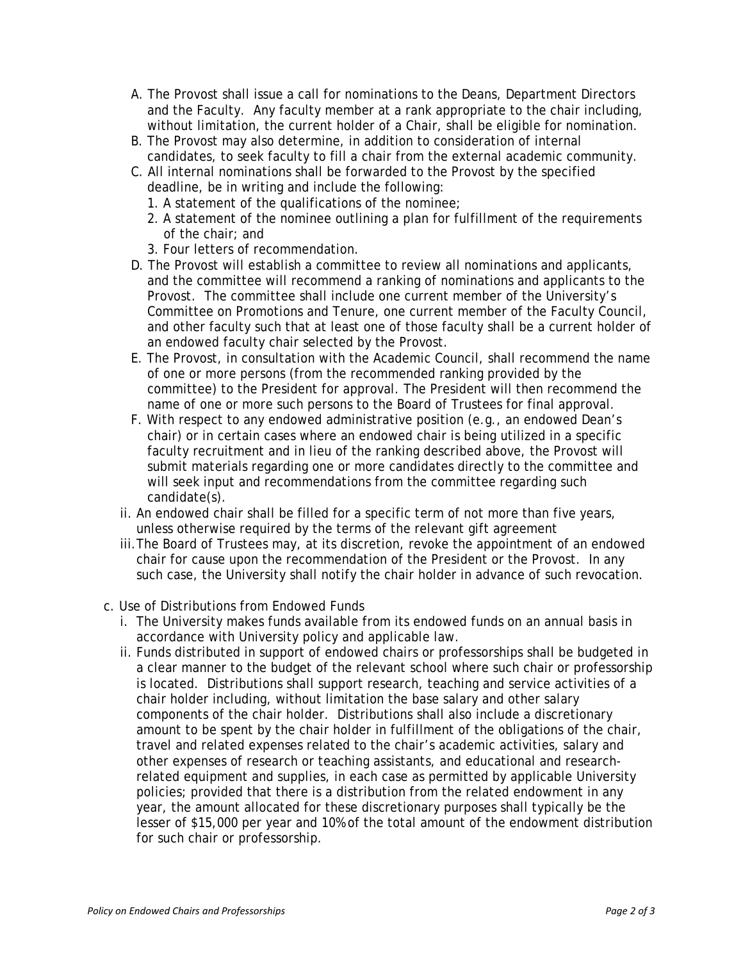- A. The Provost shall issue a call for nominations to the Deans, Department Directors and the Faculty. Any faculty member at a rank appropriate to the chair including, without limitation, the current holder of a Chair, shall be eligible for nomination.
- B. The Provost may also determine, in addition to consideration of internal candidates, to seek faculty to fill a chair from the external academic community.
- C. All internal nominations shall be forwarded to the Provost by the specified deadline, be in writing and include the following:
	- 1. A statement of the qualifications of the nominee;
	- 2. A statement of the nominee outlining a plan for fulfillment of the requirements of the chair; and
	- 3. Four letters of recommendation.
- D. The Provost will establish a committee to review all nominations and applicants, and the committee will recommend a ranking of nominations and applicants to the Provost. The committee shall include one current member of the University's Committee on Promotions and Tenure, one current member of the Faculty Council, and other faculty such that at least one of those faculty shall be a current holder of an endowed faculty chair selected by the Provost.
- E. The Provost, in consultation with the Academic Council, shall recommend the name of one or more persons (from the recommended ranking provided by the committee) to the President for approval. The President will then recommend the name of one or more such persons to the Board of Trustees for final approval.
- F. With respect to any endowed administrative position (e.g., an endowed Dean's chair) or in certain cases where an endowed chair is being utilized in a specific faculty recruitment and in lieu of the ranking described above, the Provost will submit materials regarding one or more candidates directly to the committee and will seek input and recommendations from the committee regarding such candidate(s).
- ii. An endowed chair shall be filled for a specific term of not more than five years, unless otherwise required by the terms of the relevant gift agreement
- iii. The Board of Trustees may, at its discretion, revoke the appointment of an endowed chair for cause upon the recommendation of the President or the Provost. In any such case, the University shall notify the chair holder in advance of such revocation.
- c. Use of Distributions from Endowed Funds
	- i. The University makes funds available from its endowed funds on an annual basis in accordance with University policy and applicable law.
	- ii. Funds distributed in support of endowed chairs or professorships shall be budgeted in a clear manner to the budget of the relevant school where such chair or professorship is located. Distributions shall support research, teaching and service activities of a chair holder including, without limitation the base salary and other salary components of the chair holder. Distributions shall also include a discretionary amount to be spent by the chair holder in fulfillment of the obligations of the chair, travel and related expenses related to the chair's academic activities, salary and other expenses of research or teaching assistants, and educational and researchrelated equipment and supplies, in each case as permitted by applicable University policies; provided that there is a distribution from the related endowment in any year, the amount allocated for these discretionary purposes shall typically be the lesser of \$15,000 per year and 10% of the total amount of the endowment distribution for such chair or professorship.